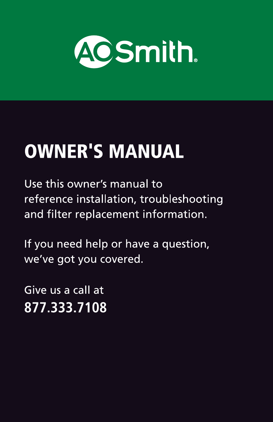

# **OWNER'S MANUAL**

Use this owner's manual to reference installation, troubleshooting and filter replacement information.

If you need help or have a question, we've got you covered.

Give us a call at 877.333.7108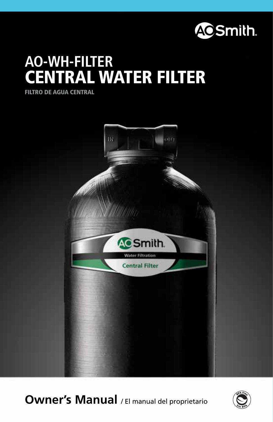

# **AO-WH-FILTER ENTRAL WATER FILTER**

FILTRO DE AGUA CENTRAL



**Owner's Manual** / El manual del proprietario

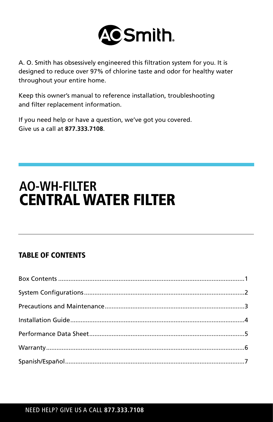

A. O. Smith has obsessively engineered this filtration system for you. It is designed to reduce over 97% of chlorine taste and odor for healthy water throughout your entire home.

Keep this owner's manual to reference installation, troubleshooting and filter replacement information.

If you need help or have a question, we've got you covered. Give us a call at **877.333.7108**.

## **AO-WH-FILTER** CENTRAL WATER FILTER

## TABLE OF CONTENTS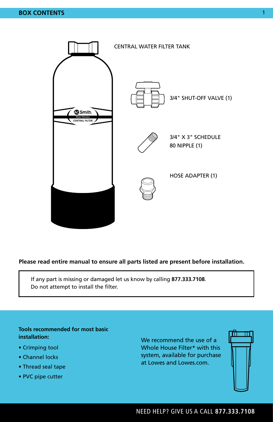

### **Please read entire manual to ensure all parts listed are present before installation.**

If any part is missing or damaged let us know by calling **877.333.7108**. Do not attempt to install the filter.

### **Tools recommended for most basic installation:**

- Crimping tool
- Channel locks
- Thread seal tape
- PVC pipe cutter

We recommend the use of a Whole House Filter\* with this system, available for purchase at Lowes and Lowes.com.



NEED HELP? GIVE US A CALL **877.333.7108**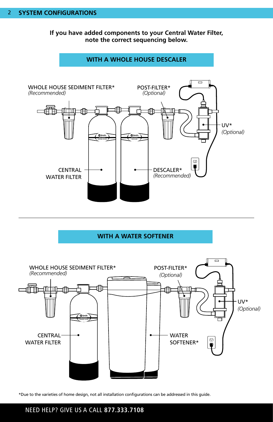**If you have added components to your Central Water Filter, note the correct sequencing below.**



**WITH A WATER SOFTENER**



\*Due to the varieties of home design, not all installation configurations can be addressed in this guide.

### NEED HELP? GIVE US A CALL **877.333.7108**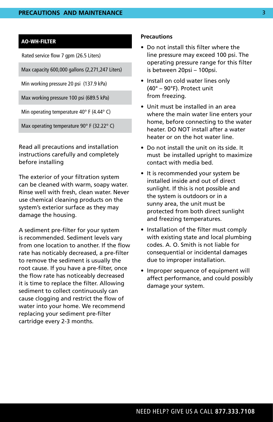### AO-WH-FILTER

Rated service flow 7 gpm (26.5 Liters)

Max capacity 600,000 gallons (2,271,247 Liters)

Min working pressure 20 psi (137.9 kPa)

Max working pressure 100 psi (689.5 kPa)

Min operating temperature 40° F (4.44° C)

Max operating temperature 90° F (32.22° C)

Read all precautions and installation instructions carefully and completely before installing

The exterior of your filtration system can be cleaned with warm, soapy water. Rinse well with fresh, clean water. Never use chemical cleaning products on the system's exterior surface as they may damage the housing.

A sediment pre-filter for your system is recommended. Sediment levels vary from one location to another. If the flow rate has noticably decreased, a pre-filter to remove the sediment is usually the root cause. If you have a pre-filter, once the flow rate has noticeably decreased it is time to replace the filter. Allowing sediment to collect continuously can cause clogging and restrict the flow of water into your home. We recommend replacing your sediment pre-filter cartridge every 2-3 months.

### **Precautions**

- Do not install this filter where the line pressure may exceed 100 psi. The operating pressure range for this filter is between 20psi – 100psi.
- Install on cold water lines only (40° – 90°F). Protect unit from freezing.
- Unit must be installed in an area where the main water line enters your home, before connecting to the water heater. DO NOT install after a water heater or on the hot water line.
- Do not install the unit on its side. It must be installed upright to maximize contact with media bed.
- It is recommended your system be installed inside and out of direct sunlight. If this is not possible and the system is outdoors or in a sunny area, the unit must be protected from both direct sunlight and freezing temperatures.
- Installation of the filter must comply with existing state and local plumbing codes. A. O. Smith is not liable for consequential or incidental damages due to improper installation.
- Improper sequence of equipment will affect performance, and could possibly damage your system.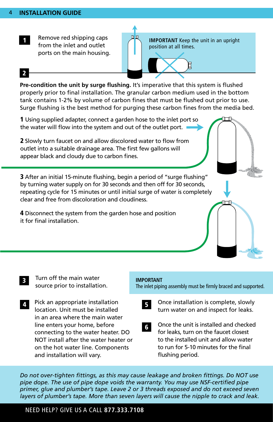

Remove red shipping caps from the inlet and outlet ports on the main housing.

**IMPORTANT** Keep the unit in an upright position at all times.

### 2

**Pre-condition the unit by surge flushing.** It's imperative that this system is flushed properly prior to final installation. The granular carbon medium used in the bottom tank contains 1-2% by volume of carbon fines that must be flushed out prior to use. Surge flushing is the best method for purging these carbon fines from the media bed.

血血

1 Using supplied adapter, connect a garden hose to the inlet port so the water will flow into the system and out of the outlet port. 2 Slowly turn faucet on and allow discolored water to flow from outlet into a suitable drainage area. The first few gallons will appear black and cloudy due to carbon fines. 3 After an initial 15-minute flushing, begin a period of "surge flushing" by turning water supply on for 30 seconds and then off for 30 seconds, repeating cycle for 15 minutes or until initial surge of water is completely clear and free from discoloration and cloudiness.

4 Disconnect the system from the garden hose and position it for final installation.

Turn off the main water source prior to installation. 3

Pick an appropriate installation location. Unit must be installed in an area where the main water line enters your home, before connecting to the water heater. DO NOT install after the water heater or on the hot water line. Components and installation will vary. 4 Pick an appropriate installation **in the Seap Conce** installation is complete, slowly

#### **IMPORTANT**

The inlet piping assembly must be firmly braced and supported.



turn water on and inspect for leaks.

- 6
- Once the unit is installed and checked for leaks, turn on the faucet closest to the installed unit and allow water to run for 5-10 minutes for the final flushing period.

*Do not over-tighten fittings, as this may cause leakage and broken fittings. Do NOT use pipe dope. The use of pipe dope voids the warranty. You may use NSF-certified pipe primer, glue and plumber's tape. Leave 2 or 3 threads exposed and do not exceed seven layers of plumber's tape. More than seven layers will cause the nipple to crack and leak.*

### NEED HELP? GIVE US A CALL **877.333.7108**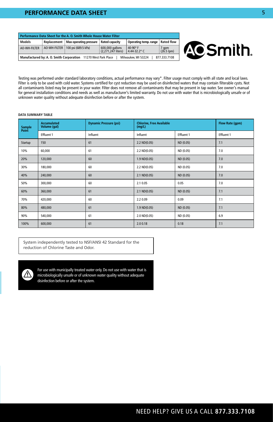### **INSTALLATION GUIDEAL SHEET** *INSTALLATION GUIDEAL STATE SHEET*

| Performance Data Sheet for the A. O. Smith Whole House Water Filter                                   |              |                               |                                       |                                  |                     |
|-------------------------------------------------------------------------------------------------------|--------------|-------------------------------|---------------------------------------|----------------------------------|---------------------|
| Models                                                                                                | Replacement  | <b>Max operating pressure</b> | <b>Rated capacity</b>                 | Operating temp. range            | <b>Rated flow</b>   |
| AO-WH-FILTER                                                                                          | AO-WH-FILTER | 100 psi (689.5 kPa)           | 600,000 gallons<br>(2.271.247 liters) | 40-90 $\degree$ F<br>4.44-32.2°C | 7 gpm<br>(26.5 lpm) |
| Manufactured by: A. O. Smith Corporation 11270 West Park Place<br>Milwaukee, WI 53224<br>877.333.7108 |              |                               |                                       |                                  |                     |



Testing was performed under standard laboratory conditions, actual performance may vary\*. Filter usage must comply with all state and local laws. Filter is only to be used with cold water. Systems certified for cyst reduction may be used on disinfected waters that may contain filterable cysts. Not all contaminants listed may be present in your water. Filter does not remove all contaminants that may be present in tap water. See owner's manual for general installation conditions and needs as well as manufacturer's limited warranty. Do not use with water that is microbiologically unsafe or of unknown water quality without adequate disinfection before or after the system.

#### **DATA SUMMARY TABLE**

| Sample<br>Point | <b>Accumulated</b><br>Volume (gal) | <b>Dynamic Pressure (psi)</b> | <b>Chlorine, Free Available</b><br>(mg/L) |            | Flow Rate (gpm) |
|-----------------|------------------------------------|-------------------------------|-------------------------------------------|------------|-----------------|
|                 | Effluent 1                         | Influent                      | Influent                                  | Effluent 1 | Effluent 1      |
| Startup         | 150                                | 61                            | $2.2 \text{ ND}(0.05)$                    | ND (0.05)  | 7.1             |
| 10%             | 60,000                             | 61                            | 2.2 ND(0.05)                              | ND (0.05)  | 7.0             |
| 20%             | 120,000                            | 60                            | $1.9$ ND $(0.05)$                         | ND (0.05)  | 7.0             |
| 30%             | 180,000                            | 60                            | 2.2 ND(0.05)                              | ND (0.05)  | 7.0             |
| 40%             | 240,000                            | 60                            | 2.1 ND(0.05)                              | ND (0.05)  | 7.0             |
| 50%             | 300,000                            | 60                            | 2.1 0.05                                  | 0.05       | 7.0             |
| 60%             | 360,000                            | 61                            | 2.1 ND(0.05)                              | ND (0.05)  | 7.1             |
| 70%             | 420,000                            | 60                            | 2.2 0.09                                  | 0.09       | 7.1             |
| 80%             | 480,000                            | 61                            | $1.9$ ND $(0.05)$                         | ND (0.05)  | 7.1             |
| 90%             | 540,000                            | 61                            | 2.0 ND(0.05)                              | ND (0.05)  | 6.9             |
| 100%            | 600,000                            | 61                            | 2.00.18                                   | 0.18       | 7.1             |

System independently tested to NSF/ANSI 42 Standard for the reduction of Chlorine Taste and Odor.



For use with municipally treated water only. Do not use with water that is microbiologically unsafe or of unknown water quality without adequate disinfection before or after the system.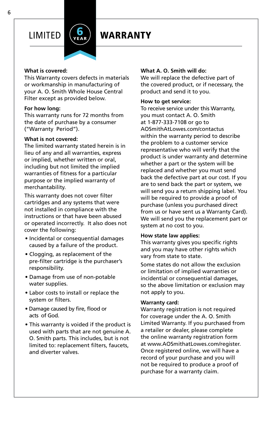

## LIMITED **WARRANTY**

### **What is covered:**

This Warranty covers defects in materials or workmanship in manufacturing of your A. O. Smith Whole House Central Filter except as provided below.

### **For how long:**

This warranty runs for 72 months from the date of purchase by a consumer ("Warranty Period").

### **What is not covered:**

The limited warranty stated herein is in lieu of any and all warranties, express or implied, whether written or oral, including but not limited the implied warranties of fitness for a particular purpose or the implied warranty of merchantability.

This warranty does not cover filter cartridges and any systems that were not installed in compliance with the instructions or that have been abused or operated incorrectly. It also does not cover the following:

- Incidental or consequential damages caused by a failure of the product.
- Clogging, as replacement of the pre-filter cartridge is the purchaser's responsibility.
- Damage from use of non-potable water supplies.
- Labor costs to install or replace the system or filters.
- Damage caused by fire, flood or acts of God.
- This warranty is voided if the product is used with parts that are not genuine A. O. Smith parts. This includes, but is not limited to: replacement filters, faucets, and diverter valves.

### **What A. O. Smith will do:**

We will replace the defective part of the covered product, or if necessary, the product and send it to you.

### **How to get service:**

To receive service under this Warranty, you must contact A. O. Smith at 1-877-333-7108 or go to AOSmithAtLowes.com/contactus within the warranty period to describe the problem to a customer service representative who will verify that the product is under warranty and determine whether a part or the system will be replaced and whether you must send back the defective part at our cost. If you are to send back the part or system, we will send you a return shipping label. You will be required to provide a proof of purchase (unless you purchased direct from us or have sent us a Warranty Card). We will send you the replacement part or system at no cost to you.

### **How state law applies:**

This warranty gives you specific rights and you may have other rights which vary from state to state.

Some states do not allow the exclusion or limitation of implied warranties or incidential or consequential damages, so the above limitation or exclusion may not apply to you.

### **Warranty card:**

Warranty registration is not required for coverage under the A. O. Smith Limited Warranty. If you purchased from a retailer or dealer, please complete the online warranty registration form at www.AOSmithatLowes.com/register. Once registered online, we will have a record of your purchase and you will not be required to produce a proof of purchase for a warranty claim.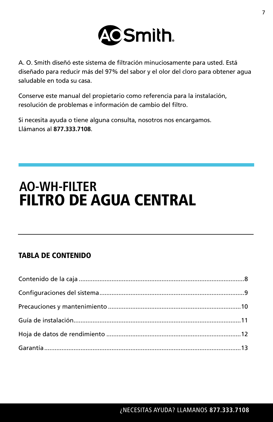

A. O. Smith diseñó este sistema de filtración minuciosamente para usted. Está diseñado para reducir más del 97% del sabor y el olor del cloro para obtener agua saludable en toda su casa.

Conserve este manual del propietario como referencia para la instalación, resolución de problemas e información de cambio del filtro.

Si necesita ayuda o tiene alguna consulta, nosotros nos encargamos. Llámanos al **877.333.7108**.

## **AO-WH-FILTER** FILTRO DE AGUA CENTRAL

### TABLA DE CONTENIDO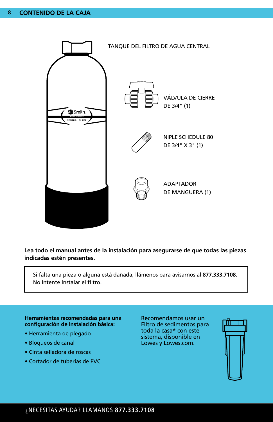

**Lea todo el manual antes de la instalación para asegurarse de que todas las piezas indicadas estén presentes.**

Si falta una pieza o alguna está dañada, llámenos para avisarnos al **877.333.7108**. No intente instalar el filtro.

### **Herramientas recomendadas para una configuración de instalación básica:**

- Herramienta de plegado
- Bloqueos de canal
- Cinta selladora de roscas
- Cortador de tuberías de PVC

Recomendamos usar un Filtro de sedimentos para toda la casa\* con este sistema, disponible en Lowes y Lowes.com.

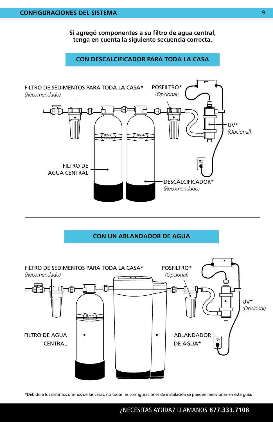**Si agregó componentes a su filtro de agua central, tenga en cuenta la siguiente secuencia correcta.**

### **CON DESCALCIFICADOR PARA TODA LA CASA**



**CON UN ABLANDADOR DE AGUA**



\*Debido a los distintos diseños de las casas, no todas las configuraciones de instalación se pueden mencionar en este guía.

### ¿NECESITAS AYUDA? LLAMANOS **877.333.7108**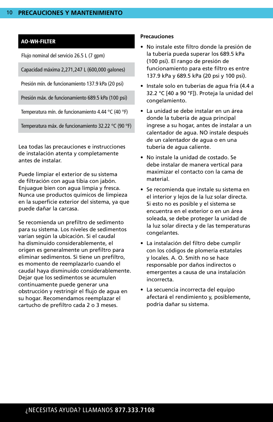### AO-WH-FILTER

Flujo nominal del servicio 26.5 L (7 gpm)

Capacidad máxima 2,271,247 L (600,000 galones)

Presión mín. de funcionamiento 137.9 kPa (20 psi)

Presión máx. de funcionamiento 689.5 kPa (100 psi)

Temperatura mín. de funcionamiento 4.44 °C (40 °F)

Temperatura máx. de funcionamiento 32.22 °C (90 °F)

Lea todas las precauciones e instrucciones de instalación atenta y completamente antes de instalar.

Puede limpiar el exterior de su sistema de filtración con agua tibia con jabón. Enjuague bien con agua limpia y fresca. Nunca use productos químicos de limpieza en la superficie exterior del sistema, ya que puede dañar la carcasa.

Se recomienda un prefiltro de sedimento para su sistema. Los niveles de sedimentos varían según la ubicación. Si el caudal ha disminuido considerablemente, el origen es generalmente un prefiltro para eliminar sedimentos. Si tiene un prefiltro, es momento de reemplazarlo cuando el caudal haya disminuido considerablemente. Dejar que los sedimentos se acumulen continuamente puede generar una obstrucción y restringir el flujo de agua en su hogar. Recomendamos reemplazar el cartucho de prefiltro cada 2 o 3 meses.

### **Precauciones**

- No instale este filtro donde la presión de la tubería pueda superar los 689.5 kPa (100 psi). El rango de presión de funcionamiento para este filtro es entre 137.9 kPa y 689.5 kPa (20 psi y 100 psi).
- Instale solo en tuberías de agua fría (4.4 a 32.2 °C [40 a 90 °F]). Proteja la unidad del congelamiento.
- La unidad se debe instalar en un área donde la tubería de agua principal ingrese a su hogar, antes de instalar a un calentador de agua. NO instale después de un calentador de agua o en una tubería de agua caliente.
- No instale la unidad de costado. Se debe instalar de manera vertical para maximizar el contacto con la cama de material.
- Se recomienda que instale su sistema en el interior y lejos de la luz solar directa. Si esto no es posible y el sistema se encuentra en el exterior o en un área soleada, se debe proteger la unidad de la luz solar directa y de las temperaturas congelantes.
- La instalación del filtro debe cumplir con los códigos de plomería estatales y locales. A. O. Smith no se hace responsable por daños indirectos o emergentes a causa de una instalación incorrecta.
- La secuencia incorrecta del equipo afectará el rendimiento y, posiblemente, podría dañar su sistema.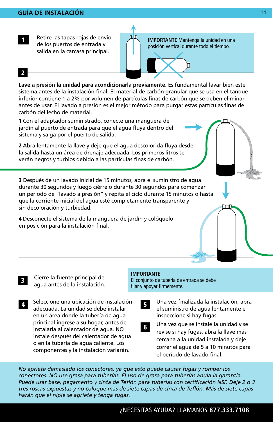1

Retire las tapas rojas de envío de los puertos de entrada y salida en la carcasa principal.

**IMPORTANTE** Mantenga la unidad en una posición vertical durante todo el tiempo.

### 2

**Lave a presión la unidad para acondicionarla previamente.** Es fundamental lavar bien este sistema antes de la instalación final. El material de carbón granular que se usa en el tanque inferior contiene 1 a 2% por volumen de partículas finas de carbón que se deben eliminar antes de usar. El lavado a presión es el mejor método para purgar estas partículas finas de carbón del lecho de material.

血血

1 Con el adaptador suministrado, conecte una manguera de jardín al puerto de entrada para que el agua fluya dentro del sistema y salga por el puerto de salida.

2 Abra lentamente la llave y deje que el agua descolorida fluya desde la salida hasta un área de drenaje adecuada. Los primeros litros se verán negros y turbios debido a las partículas finas de carbón.

3 Después de un lavado inicial de 15 minutos, abra el suministro de agua durante 30 segundos y luego ciérrelo durante 30 segundos para comenzar un período de "lavado a presión" y repita el ciclo durante 15 minutos o hasta que la corriente inicial del agua esté completamente transparente y sin decoloración y turbiedad.

4 Desconecte el sistema de la manguera de jardín y colóquelo en posición para la instalación final.

- Cierre la fuente principal de agua antes de la instalación.
- Seleccione una ubicación de instalación adecuada. La unidad se debe instalar en un área donde la tubería de agua principal ingrese a su hogar, antes de instalarla al calentador de agua. NO instale después del calentador de agua o en la tubería de agua caliente. Los componentes y la instalación variarán. 4 Seleccione una ubicación de instalación **1966. Una vez finalizada la instalación**, abra

### **IMPORTANTE**

El conjunto de tubería de entrada se debe fijar y apoyar firmemente.

> el suministro de agua lentamente e inspeccione si hay fugas. 5

 $\Box$ 

Una vez que se instale la unidad y se revise si hay fugas, abra la llave más cercana a la unidad instalada y deje correr el agua de 5 a 10 minutos para el período de lavado final. 6

*No apriete demasiado los conectores, ya que esto puede causar fugas y romper los conectores. NO use grasa para tuberías. El uso de grasa para tuberías anula la garantía. Puede usar base, pegamento y cinta de Teflón para tuberías con certificación NSF. Deje 2 o 3 tres roscas expuestas y no coloque más de siete capas de cinta de Teflón. Más de siete capas harán que el niple se agriete y tenga fugas.*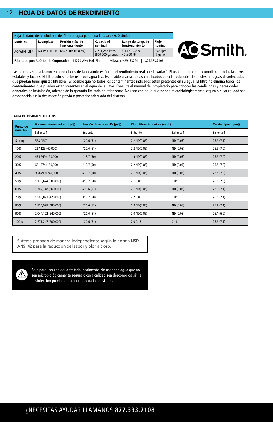### **12 HOJA DE DATOS DE RENDIMIENTO**

| Hoia de datos de rendimiento del filtro de agua para toda la casa de A. O. Smith                    |              |                                   |                                       |                                     |                          |
|-----------------------------------------------------------------------------------------------------|--------------|-----------------------------------|---------------------------------------|-------------------------------------|--------------------------|
| <b>Modelos</b>                                                                                      | Reemplazo    | Presión máx. de<br>funcionamiento | Capacidad<br>nominal                  | Rango de temp. de<br>funcionamiento | Fluio<br>nominal         |
| AO-WH-FILTER                                                                                        | AO-WH-FILTER | 689.5 kPa (100 psi)               | 2.271.247 litros<br>(600,000 galones) | 4.44 a 32.2 °C<br>40 a 90 °F        | 26.5 lpm<br>$(7$ qpm $)$ |
| Fabricado por: A. O. Smith Corporation 11270 West Park Place<br>877.333.7108<br>Milwaukee, WI 53224 |              |                                   |                                       |                                     |                          |



Las pruebas se realizaron en condiciones de laboratorio estándar, el rendimiento real puede variar\*. El uso del filtro debe cumplir con todas las leyes estatales y locales. El filtro solo se debe usar con agua fría. Es posible usar sistemas certificados para la reducción de quistes en aguas desinfectadas que puedan tener quistes filtrables. Es posible que no todos los contaminantes indicados estén presentes en su agua. El filtro no elimina todos los contaminantes que pueden estar presentes en el agua de la llave. Consulte el manual del propietario para conocer las condiciones y necesidades generales de instalación, además de la garantía limitada del fabricante. No usar con agua que no sea microbiológicamente segura o cuya calidad sea desconocida sin la desinfección previa o posterior adecuada del sistema.

#### **TABLA DE RESUMEN DE DATOS**

| Punto de<br>muestra | Volumen acumulado (L [gal]) | Presión dinámica (kPa [psi]) | Cloro libre disponible (mq/L) |            | Caudal (lpm [gpm]) |
|---------------------|-----------------------------|------------------------------|-------------------------------|------------|--------------------|
|                     | Saliente 1                  | Entrante                     | Entrante                      | Saliente 1 | Saliente 1         |
| Startup             | 568 (150)                   | 420.6 (61)                   | 2.2 ND(0.05)                  | ND (0.05)  | 26.9(7.1)          |
| 10%                 | 227,125 (60,000)            | 420.6 (61)                   | 2.2 ND(0.05)                  | ND (0.05)  | 26.5(7.0)          |
| 20%                 | 454,249 (120,000)           | 413.7 (60)                   | $1.9 \, \text{ND}(0.05)$      | ND (0.05)  | 26.5(7.0)          |
| 30%                 | 681,374 (180,000)           | 413.7 (60)                   | 2.2 ND(0.05)                  | ND (0.05)  | 26.5(7.0)          |
| 40%                 | 908,499 (240,000)           | 413.7 (60)                   | $2.1 \, \text{ND}(0.05)$      | ND (0.05)  | 26.5(7.0)          |
| 50%                 | 1,135,624 (300,000)         | 413.7 (60)                   | 2.1 0.05                      | 0.05       | 26.5(7.0)          |
| 60%                 | 1,362,748 (360,000)         | 420.6 (61)                   | $2.1 \text{ ND}(0.05)$        | ND (0.05)  | 26.9(7.1)          |
| 70%                 | 1,589,873 (420,000)         | 413.7 (60)                   | 2.2 0.09                      | 0.09       | 26.9(7.1)          |
| 80%                 | 1,816,998 (480,000)         | 420.6 (61)                   | $1.9 \, \text{ND}(0.05)$      | ND (0.05)  | 26.9(7.1)          |
| 90%                 | 2,044,122 (540,000)         | 420.6 (61)                   | 2.0 ND(0.05)                  | ND (0.05)  | 26.1(6.9)          |
| 100%                | 2,271,247 (600,000)         | 420.6 (61)                   | 2.00.18                       | 0.18       | 26.9(7.1)          |

Sistema probado de manera independiente según la norma NSF/ ANSI 42 para la reducción del sabor y olor a cloro.



Solo para uso con agua tratada localmente. No usar con agua que no sea microbiológicamente segura o cuya calidad sea desconocida sin la desinfección previa o posterior adecuada del sistema.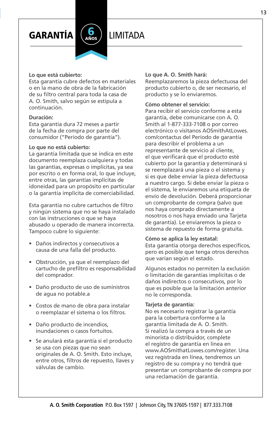GARANTÍA LIMITADA



### **Lo que está cubierto:**

Esta garantía cubre defectos en materiales o en la mano de obra de la fabricación de su filtro central para toda la casa de A. O. Smith, salvo según se estipula a continuación.

### **Duración:**

Esta garantía dura 72 meses a partir de la fecha de compra por parte del consumidor ("Período de garantía").

### **Lo que no está cubierto:**

La garantía limitada que se indica en este documento reemplaza cualquiera y todas las garantías, expresas o implícitas, ya sea por escrito o en forma oral, lo que incluye, entre otras, las garantías implícitas de idoneidad para un propósito en particular o la garantía implícita de comerciabilidad.

Esta garantía no cubre cartuchos de filtro y ningún sistema que no se haya instalado con las instrucciones o que se haya abusado u operado de manera incorrecta. Tampoco cubre lo siguiente:

- Daños indirectos y consecutivos a causa de una falla del producto.
- Obstrucción, ya que el reemplazo del cartucho de prefiltro es responsabilidad del comprador.
- Daño producto de uso de suministros de agua no potable.a
- Costos de mano de obra para instalar o reemplazar el sistema o los filtros.
- Daño producto de incendios, inundaciones o casos fortuitos.
- Se anulará esta garantía si el producto se usa con piezas que no sean originales de A. O. Smith. Esto incluye, entre otros, filtros de repuesto, llaves y válvulas de cambio.

#### **Lo que A. O. Smith hará:**

Reemplazaremos la pieza defectuosa del producto cubierto o, de ser necesario, el producto y se lo enviaremos.

### **Cómo obtener el servicio:**

Para recibir el servicio conforme a esta garantía, debe comunicarse con A. O. Smith al 1-877-333-7108 o por correo electrónico o visitanos AOSmithAtLowes. com/contactus del Período de garantía para describir el problema a un representante de servicio al cliente, el que verificará que el producto esté cubierto por la garantía y determinará si se reemplazará una pieza o el sistema y si es que debe enviar la pieza defectuosa a nuestro cargo. Si debe enviar la pieza o el sistema, le enviaremos una etiqueta de envío de devolución. Deberá proporcionar un comprobante de compra (salvo que nos haya comprado directamente a nosotros o nos haya enviado una Tarjeta de garantía). Le enviaremos la pieza o sistema de repuesto de forma gratuita.

#### **Cómo se aplica la ley estatal:**

Esta garantía otorga derechos específicos, pero es posible que tenga otros derechos que varían según el estado.

Algunos estados no permiten la exclusión o limitación de garantías implícitas o de daños indirectos o consecutivos, por lo que es posible que la limitación anterior no le corresponda.

#### **Tarjeta de garantía:**

No es necesario registrar la garantía para la cobertura conforme a la garantía limitada de A. O. Smith. Si realizó la compra a través de un minorista o distribuidor, complete el registro de garantía en línea en www.AOSmithatLowes.com/register. Una vez registrada en línea, tendremos un registro de su compra y no tendrá que presentar un comprobante de compra por una reclamación de garantía.